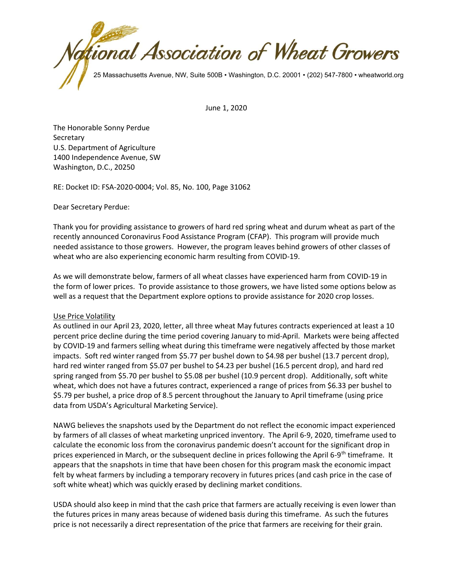

June 1, 2020

The Honorable Sonny Perdue **Secretary** U.S. Department of Agriculture 1400 Independence Avenue, SW Washington, D.C., 20250

RE: Docket ID: FSA-2020-0004; Vol. 85, No. 100, Page 31062

Dear Secretary Perdue:

Thank you for providing assistance to growers of hard red spring wheat and durum wheat as part of the recently announced Coronavirus Food Assistance Program (CFAP). This program will provide much needed assistance to those growers. However, the program leaves behind growers of other classes of wheat who are also experiencing economic harm resulting from COVID-19.

As we will demonstrate below, farmers of all wheat classes have experienced harm from COVID-19 in the form of lower prices. To provide assistance to those growers, we have listed some options below as well as a request that the Department explore options to provide assistance for 2020 crop losses.

## Use Price Volatility

As outlined in our April 23, 2020, letter, all three wheat May futures contracts experienced at least a 10 percent price decline during the time period covering January to mid-April. Markets were being affected by COVID-19 and farmers selling wheat during this timeframe were negatively affected by those market impacts. Soft red winter ranged from \$5.77 per bushel down to \$4.98 per bushel (13.7 percent drop), hard red winter ranged from \$5.07 per bushel to \$4.23 per bushel (16.5 percent drop), and hard red spring ranged from \$5.70 per bushel to \$5.08 per bushel (10.9 percent drop). Additionally, soft white wheat, which does not have a futures contract, experienced a range of prices from \$6.33 per bushel to \$5.79 per bushel, a price drop of 8.5 percent throughout the January to April timeframe (using price data from USDA's Agricultural Marketing Service).

NAWG believes the snapshots used by the Department do not reflect the economic impact experienced by farmers of all classes of wheat marketing unpriced inventory. The April 6-9, 2020, timeframe used to calculate the economic loss from the coronavirus pandemic doesn't account for the significant drop in prices experienced in March, or the subsequent decline in prices following the April 6-9<sup>th</sup> timeframe. It appears that the snapshots in time that have been chosen for this program mask the economic impact felt by wheat farmers by including a temporary recovery in futures prices (and cash price in the case of soft white wheat) which was quickly erased by declining market conditions.

USDA should also keep in mind that the cash price that farmers are actually receiving is even lower than the futures prices in many areas because of widened basis during this timeframe. As such the futures price is not necessarily a direct representation of the price that farmers are receiving for their grain.